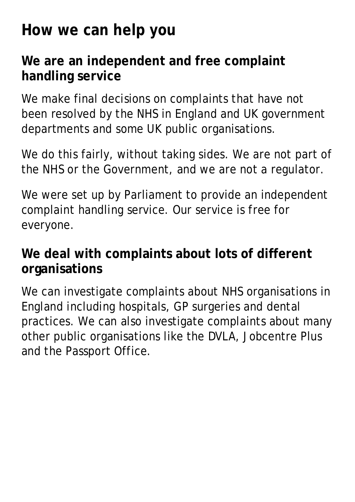# **How we can help you**

#### **We are an independent and free complaint handling service**

We make final decisions on complaints that have not been resolved by the NHS in England and UK government departments and some UK public organisations.

We do this fairly, without taking sides. We are not part of the NHS or the Government, and we are not a regulator.

We were set up by Parliament to provide an independent complaint handling service. Our service is free for everyone.

#### **We deal with complaints about lots of different organisations**

We can investigate complaints about NHS organisations in England including hospitals, GP surgeries and dental practices. We can also investigate complaints about many other public organisations like the DVLA, Jobcentre Plus and the Passport Office.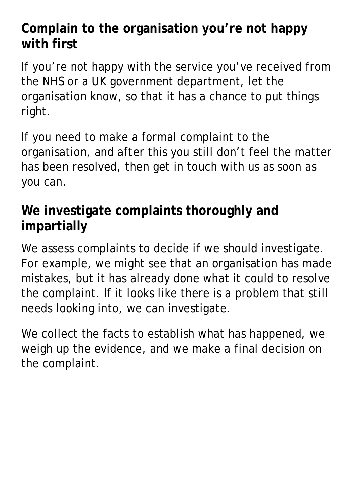# **Complain to the organisation you're not happy with first**

If you're not happy with the service you've received from the NHS or a UK government department, let the organisation know, so that it has a chance to put things right.

If you need to make a formal complaint to the organisation, and after this you still don't feel the matter has been resolved, then get in touch with us as soon as you can.

# **We investigate complaints thoroughly and impartially**

We assess complaints to decide if we should investigate. For example, we might see that an organisation has made mistakes, but it has already done what it could to resolve the complaint. If it looks like there is a problem that still needs looking into, we can investigate.

We collect the facts to establish what has happened, we weigh up the evidence, and we make a final decision on the complaint.